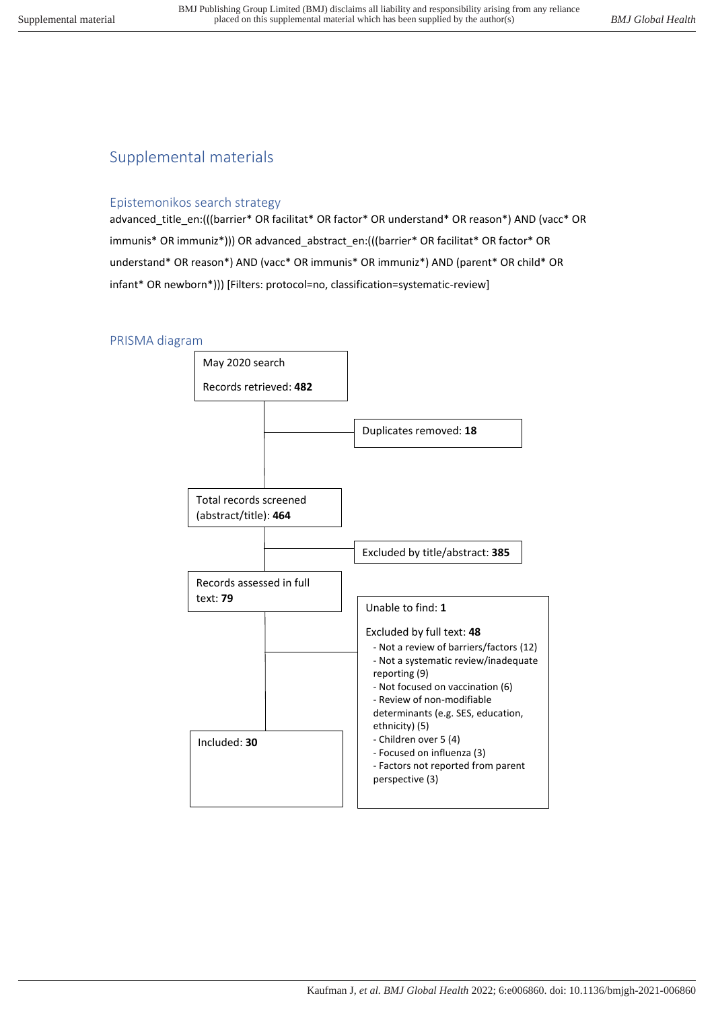# Supplemental materials

#### Epistemonikos search strategy

advanced\_title\_en:(((barrier\* OR facilitat\* OR factor\* OR understand\* OR reason\*) AND (vacc\* OR immunis\* OR immuniz\*))) OR advanced\_abstract\_en:(((barrier\* OR facilitat\* OR factor\* OR understand\* OR reason\*) AND (vacc\* OR immunis\* OR immuniz\*) AND (parent\* OR child\* OR infant\* OR newborn\*))) [Filters: protocol=no, classification=systematic-review]

#### PRISMA diagram

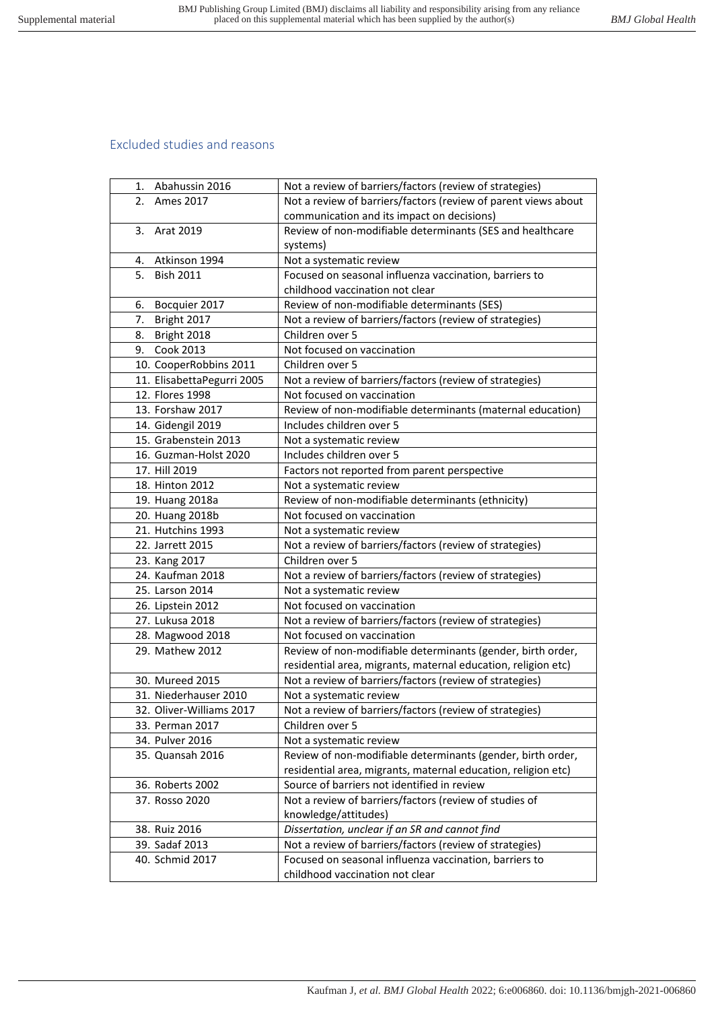#### Excluded studies and reasons

| 1. Abahussin 2016          | Not a review of barriers/factors (review of strategies)        |
|----------------------------|----------------------------------------------------------------|
| 2.<br>Ames 2017            | Not a review of barriers/factors (review of parent views about |
|                            | communication and its impact on decisions)                     |
| 3.<br>Arat 2019            | Review of non-modifiable determinants (SES and healthcare      |
|                            | systems)                                                       |
| Atkinson 1994<br>4.        | Not a systematic review                                        |
| <b>Bish 2011</b><br>5.     | Focused on seasonal influenza vaccination, barriers to         |
|                            | childhood vaccination not clear                                |
| Bocquier 2017<br>6.        | Review of non-modifiable determinants (SES)                    |
| 7.<br>Bright 2017          | Not a review of barriers/factors (review of strategies)        |
| Bright 2018<br>8.          | Children over 5                                                |
| 9. Cook 2013               | Not focused on vaccination                                     |
| 10. CooperRobbins 2011     | Children over 5                                                |
| 11. ElisabettaPegurri 2005 | Not a review of barriers/factors (review of strategies)        |
| 12. Flores 1998            | Not focused on vaccination                                     |
| 13. Forshaw 2017           | Review of non-modifiable determinants (maternal education)     |
| 14. Gidengil 2019          | Includes children over 5                                       |
| 15. Grabenstein 2013       | Not a systematic review                                        |
| 16. Guzman-Holst 2020      | Includes children over 5                                       |
| 17. Hill 2019              | Factors not reported from parent perspective                   |
| 18. Hinton 2012            | Not a systematic review                                        |
| 19. Huang 2018a            | Review of non-modifiable determinants (ethnicity)              |
| 20. Huang 2018b            | Not focused on vaccination                                     |
| 21. Hutchins 1993          | Not a systematic review                                        |
| 22. Jarrett 2015           | Not a review of barriers/factors (review of strategies)        |
| 23. Kang 2017              | Children over 5                                                |
| 24. Kaufman 2018           | Not a review of barriers/factors (review of strategies)        |
| 25. Larson 2014            | Not a systematic review                                        |
| 26. Lipstein 2012          | Not focused on vaccination                                     |
| 27. Lukusa 2018            | Not a review of barriers/factors (review of strategies)        |
| 28. Magwood 2018           | Not focused on vaccination                                     |
| 29. Mathew 2012            | Review of non-modifiable determinants (gender, birth order,    |
|                            | residential area, migrants, maternal education, religion etc)  |
| 30. Mureed 2015            | Not a review of barriers/factors (review of strategies)        |
| 31. Niederhauser 2010      | Not a systematic review                                        |
| 32. Oliver-Williams 2017   | Not a review of barriers/factors (review of strategies)        |
| 33. Perman 2017            | Children over 5                                                |
| 34. Pulver 2016            | Not a systematic review                                        |
| 35. Quansah 2016           | Review of non-modifiable determinants (gender, birth order,    |
|                            | residential area, migrants, maternal education, religion etc)  |
| 36. Roberts 2002           | Source of barriers not identified in review                    |
| 37. Rosso 2020             | Not a review of barriers/factors (review of studies of         |
|                            | knowledge/attitudes)                                           |
| 38. Ruiz 2016              | Dissertation, unclear if an SR and cannot find                 |
| 39. Sadaf 2013             | Not a review of barriers/factors (review of strategies)        |
| 40. Schmid 2017            | Focused on seasonal influenza vaccination, barriers to         |
|                            | childhood vaccination not clear                                |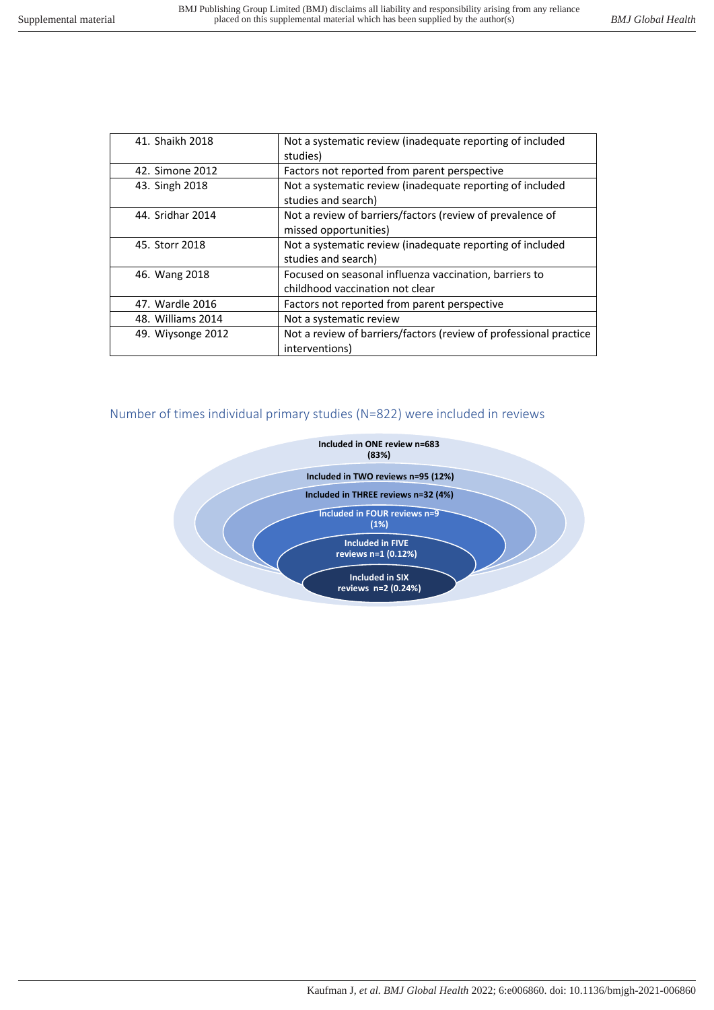| 41. Shaikh 2018   | Not a systematic review (inadequate reporting of included<br>studies)                     |
|-------------------|-------------------------------------------------------------------------------------------|
| 42. Simone 2012   | Factors not reported from parent perspective                                              |
| 43. Singh 2018    | Not a systematic review (inadequate reporting of included<br>studies and search)          |
| 44. Sridhar 2014  | Not a review of barriers/factors (review of prevalence of<br>missed opportunities)        |
| 45. Storr 2018    | Not a systematic review (inadequate reporting of included<br>studies and search)          |
| 46. Wang 2018     | Focused on seasonal influenza vaccination, barriers to<br>childhood vaccination not clear |
| 47. Wardle 2016   | Factors not reported from parent perspective                                              |
| 48. Williams 2014 | Not a systematic review                                                                   |
| 49. Wiysonge 2012 | Not a review of barriers/factors (review of professional practice<br>interventions)       |

## Number of times individual primary studies (N=822) were included in reviews

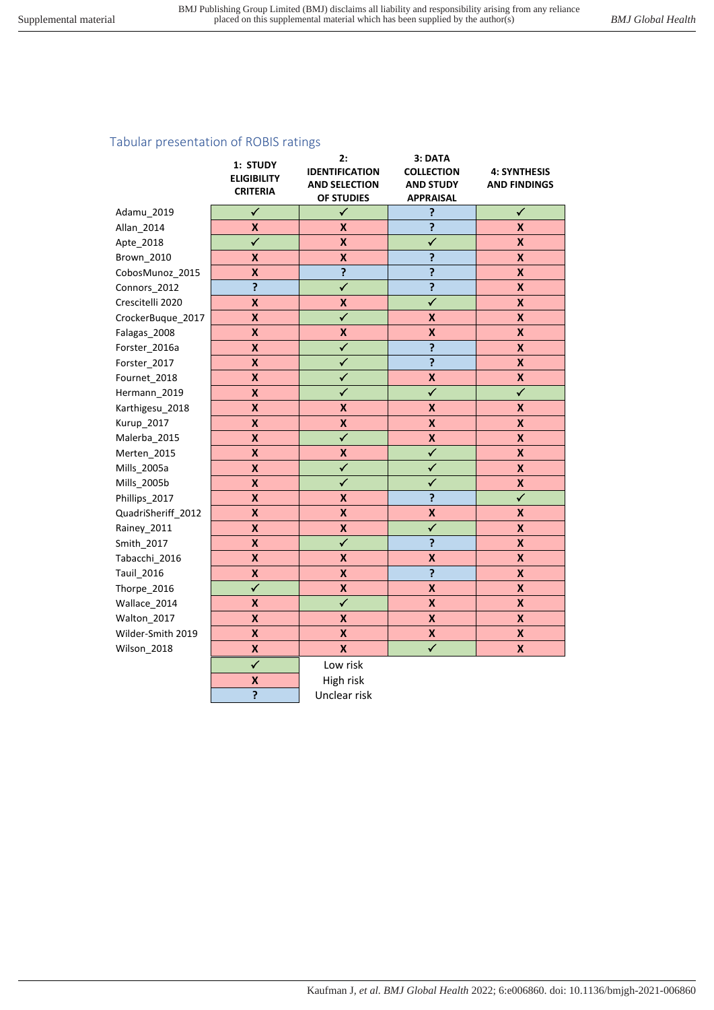## Tabular presentation of ROBIS ratings

|                           | 2:                                                                                                     | 3: DATA                                                                                                                            |                                                                                            |
|---------------------------|--------------------------------------------------------------------------------------------------------|------------------------------------------------------------------------------------------------------------------------------------|--------------------------------------------------------------------------------------------|
|                           | <b>IDENTIFICATION</b>                                                                                  | <b>COLLECTION</b>                                                                                                                  | <b>4: SYNTHESIS</b>                                                                        |
|                           | <b>AND SELECTION</b>                                                                                   | <b>AND STUDY</b>                                                                                                                   | <b>AND FINDINGS</b>                                                                        |
|                           |                                                                                                        |                                                                                                                                    |                                                                                            |
|                           |                                                                                                        |                                                                                                                                    | $\checkmark$                                                                               |
| X                         | X                                                                                                      |                                                                                                                                    | $\pmb{\mathsf{X}}$                                                                         |
|                           |                                                                                                        |                                                                                                                                    | $\pmb{\mathsf{X}}$                                                                         |
| X                         |                                                                                                        |                                                                                                                                    | $\pmb{\mathsf{X}}$                                                                         |
| X                         |                                                                                                        |                                                                                                                                    | $\pmb{\mathsf{X}}$                                                                         |
|                           |                                                                                                        |                                                                                                                                    | X                                                                                          |
| X                         | X                                                                                                      | $\checkmark$                                                                                                                       | X                                                                                          |
| X                         | $\checkmark$                                                                                           | X                                                                                                                                  | $\boldsymbol{x}$                                                                           |
| $\boldsymbol{\mathsf{X}}$ | $\boldsymbol{\mathsf{X}}$                                                                              | $\pmb{\mathsf{X}}$                                                                                                                 | $\pmb{\mathsf{X}}$                                                                         |
| X                         | $\checkmark$                                                                                           | ?                                                                                                                                  | X                                                                                          |
| X                         | $\checkmark$                                                                                           | $\overline{\mathbf{?}}$                                                                                                            | X                                                                                          |
| $\boldsymbol{\mathsf{x}}$ | $\checkmark$                                                                                           | X                                                                                                                                  | $\pmb{\mathsf{X}}$                                                                         |
| X                         | $\checkmark$                                                                                           | $\overline{\checkmark}$                                                                                                            | $\checkmark$                                                                               |
| $\boldsymbol{\mathsf{X}}$ | $\pmb{\mathsf{X}}$                                                                                     | X                                                                                                                                  | $\pmb{\mathsf{X}}$                                                                         |
| $\boldsymbol{\mathsf{X}}$ | $\pmb{\mathsf{X}}$                                                                                     | X                                                                                                                                  | $\boldsymbol{x}$                                                                           |
| $\boldsymbol{\mathsf{X}}$ | $\overline{\checkmark}$                                                                                | $\pmb{\mathsf{X}}$                                                                                                                 | $\overline{\mathsf{x}}$                                                                    |
| $\boldsymbol{x}$          | $\boldsymbol{\mathsf{x}}$                                                                              | $\checkmark$                                                                                                                       | $\boldsymbol{\mathsf{X}}$                                                                  |
| X                         | $\checkmark$                                                                                           | $\checkmark$                                                                                                                       | X                                                                                          |
| $\boldsymbol{\mathsf{X}}$ | $\checkmark$                                                                                           | $\checkmark$                                                                                                                       | $\mathsf{x}$                                                                               |
| $\overline{\mathsf{x}}$   | $\boldsymbol{\mathsf{x}}$                                                                              | ?                                                                                                                                  | $\overline{\checkmark}$                                                                    |
| $\boldsymbol{\mathsf{X}}$ | $\boldsymbol{\mathsf{x}}$                                                                              | $\boldsymbol{\mathsf{x}}$                                                                                                          | $\boldsymbol{\mathsf{X}}$                                                                  |
| $\boldsymbol{\mathsf{X}}$ | $\boldsymbol{\mathsf{X}}$                                                                              | $\checkmark$                                                                                                                       | $\pmb{\mathsf{X}}$                                                                         |
| $\boldsymbol{\mathsf{x}}$ | $\overline{\checkmark}$                                                                                | ?                                                                                                                                  | $\pmb{\mathsf{X}}$                                                                         |
| $\pmb{\mathsf{X}}$        | $\boldsymbol{x}$                                                                                       | X                                                                                                                                  | $\pmb{\mathsf{X}}$                                                                         |
| X                         | $\pmb{\mathsf{X}}$                                                                                     | ?                                                                                                                                  | $\pmb{\mathsf{X}}$                                                                         |
| $\checkmark$              | $\pmb{\mathsf{X}}$                                                                                     | X                                                                                                                                  | $\pmb{\mathsf{X}}$                                                                         |
| X                         | $\overline{\checkmark}$                                                                                | $\pmb{\mathsf{X}}$                                                                                                                 | $\pmb{\mathsf{X}}$                                                                         |
| X                         | $\boldsymbol{x}$                                                                                       | $\pmb{\mathsf{X}}$                                                                                                                 | $\pmb{\mathsf{X}}$                                                                         |
| X                         | X                                                                                                      | X                                                                                                                                  | X                                                                                          |
| X                         | X                                                                                                      | $\checkmark$                                                                                                                       | X                                                                                          |
| $\checkmark$              |                                                                                                        |                                                                                                                                    |                                                                                            |
|                           |                                                                                                        |                                                                                                                                    |                                                                                            |
| <sup>2</sup>              | Unclear risk                                                                                           |                                                                                                                                    |                                                                                            |
|                           | 1: STUDY<br><b>ELIGIBILITY</b><br><b>CRITERIA</b><br>$\checkmark$<br>$\checkmark$<br><sup>?</sup><br>X | OF STUDIES<br>$\checkmark$<br>$\boldsymbol{\mathsf{x}}$<br>$\boldsymbol{\mathsf{x}}$<br>?<br>$\checkmark$<br>Low risk<br>High risk | <b>APPRAISAL</b><br>?<br>?<br>$\overline{\checkmark}$<br>?<br>$\overline{\mathbf{?}}$<br>? |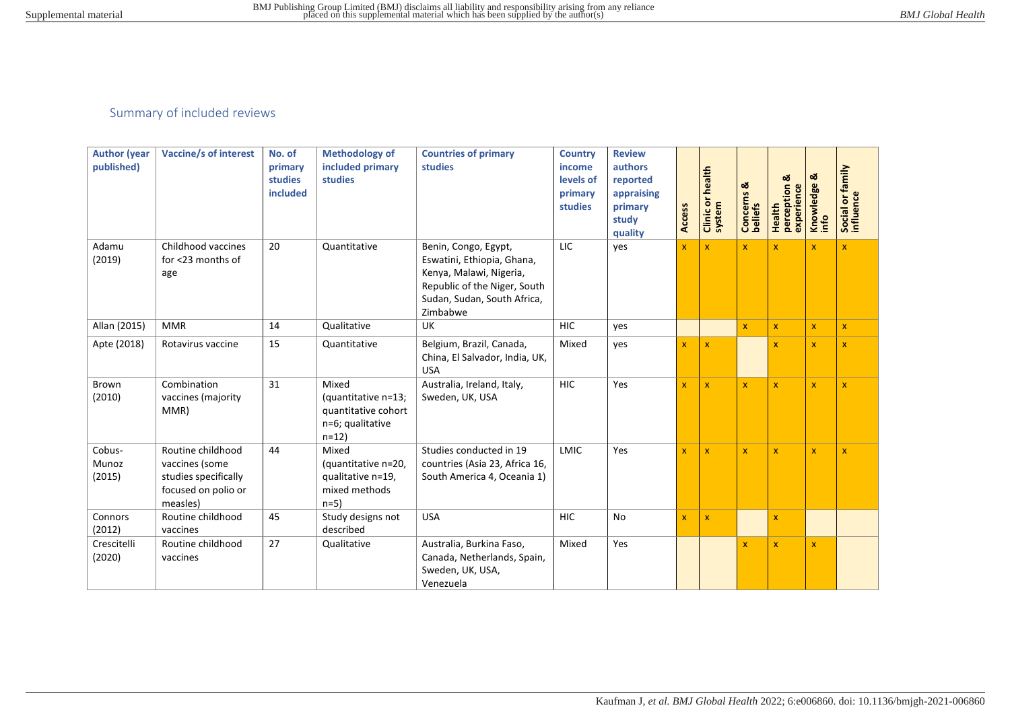# Summary of included reviews

| <b>Author (year</b><br>published) | <b>Vaccine/s of interest</b>                                                                   | No. of<br>primary<br><b>studies</b><br>included | <b>Methodology of</b><br>included primary<br>studies                              | <b>Countries of primary</b><br>studies                                                                                                                   | <b>Country</b><br>income<br>levels of<br>primary<br>studies | <b>Review</b><br>authors<br>reported<br>appraising<br>primary<br>study<br>quality | <b>Access</b> | Clinic or health<br>system | Concerns &<br>beliefs | ಜ<br>Health<br>perception<br>experience | ఱ<br>Knowledge<br>info  | Social or family<br>influence |
|-----------------------------------|------------------------------------------------------------------------------------------------|-------------------------------------------------|-----------------------------------------------------------------------------------|----------------------------------------------------------------------------------------------------------------------------------------------------------|-------------------------------------------------------------|-----------------------------------------------------------------------------------|---------------|----------------------------|-----------------------|-----------------------------------------|-------------------------|-------------------------------|
| Adamu<br>(2019)                   | Childhood vaccines<br>for <23 months of<br>age                                                 | 20                                              | Quantitative                                                                      | Benin, Congo, Egypt,<br>Eswatini, Ethiopia, Ghana,<br>Kenya, Malawi, Nigeria,<br>Republic of the Niger, South<br>Sudan, Sudan, South Africa,<br>Zimbabwe | LIC                                                         | yes                                                                               | $\mathbf{x}$  | $\mathbf{x}$               | $\mathbf{x}$          | $\mathbf{x}$                            | $\overline{\mathsf{x}}$ | $\mathbf{x}$                  |
| Allan (2015)                      | <b>MMR</b>                                                                                     | 14                                              | Qualitative                                                                       | UK                                                                                                                                                       | <b>HIC</b>                                                  | yes                                                                               |               |                            | x                     | $\mathbf X$                             | $\mathbf{x}$            | $\mathbf{x}$                  |
| Apte (2018)                       | Rotavirus vaccine                                                                              | 15                                              | Quantitative                                                                      | Belgium, Brazil, Canada,<br>China, El Salvador, India, UK,<br><b>USA</b>                                                                                 | Mixed                                                       | yes                                                                               | X             | $\mathbf x$                |                       | $\mathbf{x}$                            | $\mathbf x$             | $\mathbf{x}$                  |
| Brown<br>(2010)                   | Combination<br>vaccines (majority<br>MMR)                                                      | 31                                              | Mixed<br>(quantitative n=13;<br>quantitative cohort<br>n=6; qualitative<br>$n=12$ | Australia, Ireland, Italy,<br>Sweden, UK, USA                                                                                                            | <b>HIC</b>                                                  | Yes                                                                               | X             | $\mathbf{x}$               | $\mathbf{x}$          | $\mathbf{x}$                            | $\mathbf{x}$            | $\mathbf x$                   |
| Cobus-<br>Munoz<br>(2015)         | Routine childhood<br>vaccines (some<br>studies specifically<br>focused on polio or<br>measles) | 44                                              | Mixed<br>(quantitative n=20,<br>qualitative n=19,<br>mixed methods<br>$n=5$       | Studies conducted in 19<br>countries (Asia 23, Africa 16,<br>South America 4, Oceania 1)                                                                 | <b>LMIC</b>                                                 | Yes                                                                               | X             | $\mathbf{x}$               | x                     | $\mathbf{x}$                            | $\mathbf x$             | $\mathbf x$                   |
| Connors<br>(2012)                 | Routine childhood<br>vaccines                                                                  | 45                                              | Study designs not<br>described                                                    | <b>USA</b>                                                                                                                                               | <b>HIC</b>                                                  | No                                                                                | X             | $\mathbf{x}$               |                       | $\mathbf{x}$                            |                         |                               |
| Crescitelli<br>(2020)             | Routine childhood<br>vaccines                                                                  | 27                                              | Qualitative                                                                       | Australia, Burkina Faso,<br>Canada, Netherlands, Spain,<br>Sweden, UK, USA,<br>Venezuela                                                                 | Mixed                                                       | Yes                                                                               |               |                            | x                     | $\mathbf{x}$                            | $\mathbf x$             |                               |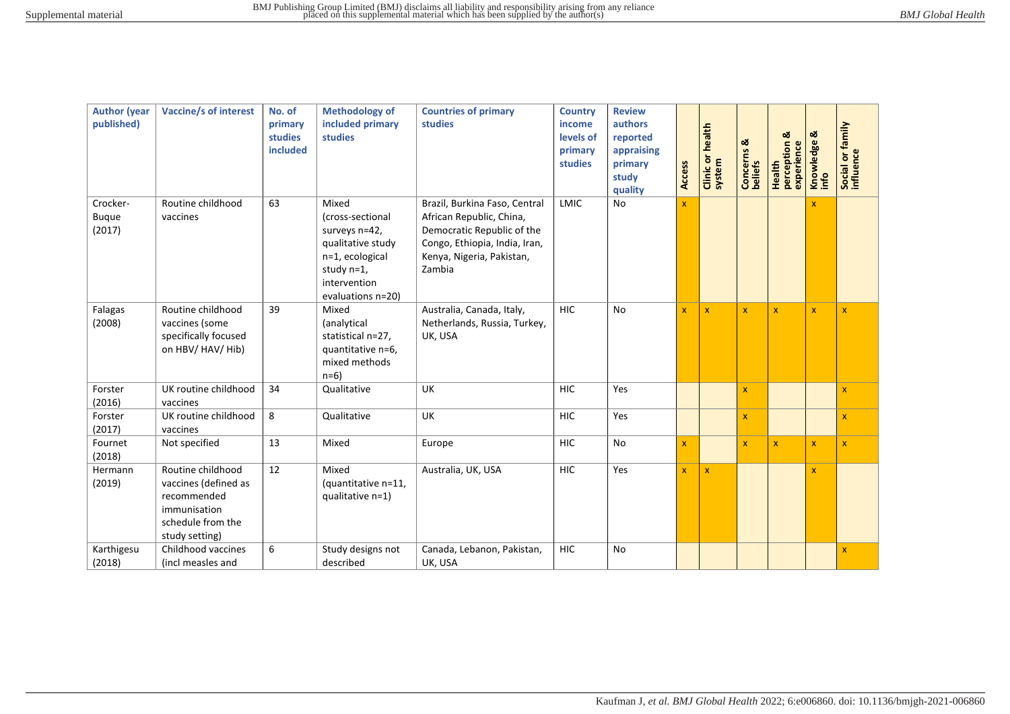| <b>Author (year</b><br>published)  | <b>Vaccine/s of interest</b>                                                                                    | No. of<br>primary<br>studies<br>included | <b>Methodology of</b><br>included primary<br><b>studies</b>                                                                           | <b>Countries of primary</b><br><b>studies</b>                                                                                                                   | <b>Country</b><br>income<br>levels of<br>primary<br>studies | <b>Review</b><br>authors<br>reported<br>appraising<br>primary<br>study<br>quality | <b>Access</b> | <b>Clinic or health</b><br>system | Concerns &<br>beliefs | ಹ<br>experience<br>Health<br>perception | ळ<br>Knowledge<br>info  | family<br>Social or fa  |
|------------------------------------|-----------------------------------------------------------------------------------------------------------------|------------------------------------------|---------------------------------------------------------------------------------------------------------------------------------------|-----------------------------------------------------------------------------------------------------------------------------------------------------------------|-------------------------------------------------------------|-----------------------------------------------------------------------------------|---------------|-----------------------------------|-----------------------|-----------------------------------------|-------------------------|-------------------------|
| Crocker-<br><b>Buque</b><br>(2017) | Routine childhood<br>vaccines                                                                                   | 63                                       | Mixed<br>(cross-sectional<br>surveys n=42,<br>qualitative study<br>n=1, ecological<br>study n=1,<br>intervention<br>evaluations n=20) | Brazil, Burkina Faso, Central<br>African Republic, China,<br>Democratic Republic of the<br>Congo, Ethiopia, India, Iran,<br>Kenya, Nigeria, Pakistan,<br>Zambia | <b>LMIC</b>                                                 | No                                                                                | $\mathbf{x}$  |                                   |                       |                                         | $\overline{\mathsf{x}}$ |                         |
| Falagas<br>(2008)                  | Routine childhood<br>vaccines (some<br>specifically focused<br>on HBV/ HAV/ Hib)                                | 39                                       | Mixed<br>(analytical<br>statistical n=27,<br>quantitative n=6,<br>mixed methods<br>$n=6$ )                                            | Australia, Canada, Italy,<br>Netherlands, Russia, Turkey,<br>UK, USA                                                                                            | <b>HIC</b>                                                  | No                                                                                | X             | $\mathbf x$                       | $\mathbf{x}$          | $\mathbf{x}$                            | $\mathbf{x}$            | $\mathbf{x}$            |
| Forster<br>(2016)                  | UK routine childhood<br>vaccines                                                                                | 34                                       | Qualitative                                                                                                                           | <b>UK</b>                                                                                                                                                       | <b>HIC</b>                                                  | Yes                                                                               |               |                                   | $\mathbf{x}$          |                                         |                         | $\overline{\mathsf{x}}$ |
| Forster<br>(2017)                  | UK routine childhood<br>vaccines                                                                                | 8                                        | Qualitative                                                                                                                           | UK                                                                                                                                                              | <b>HIC</b>                                                  | Yes                                                                               |               |                                   | X.                    |                                         |                         | $\mathbf{x}$            |
| Fournet<br>(2018)                  | Not specified                                                                                                   | 13                                       | Mixed                                                                                                                                 | Europe                                                                                                                                                          | <b>HIC</b>                                                  | No                                                                                | $\mathbf x$   |                                   | X.                    | $\mathsf{x}$                            | $\mathbf{x}$            | $\mathbf{x}$            |
| Hermann<br>(2019)                  | Routine childhood<br>vaccines (defined as<br>recommended<br>immunisation<br>schedule from the<br>study setting) | 12                                       | Mixed<br>(quantitative n=11,<br>qualitative n=1)                                                                                      | Australia, UK, USA                                                                                                                                              | <b>HIC</b>                                                  | Yes                                                                               | $\mathbf{x}$  | $\pmb{\mathsf{x}}$                |                       |                                         | $\mathbf{x}$            |                         |
| Karthigesu<br>(2018)               | Childhood vaccines<br>(incl measles and                                                                         | 6                                        | Study designs not<br>described                                                                                                        | Canada, Lebanon, Pakistan,<br>UK, USA                                                                                                                           | <b>HIC</b>                                                  | No                                                                                |               |                                   |                       |                                         |                         | $\overline{\mathbf{x}}$ |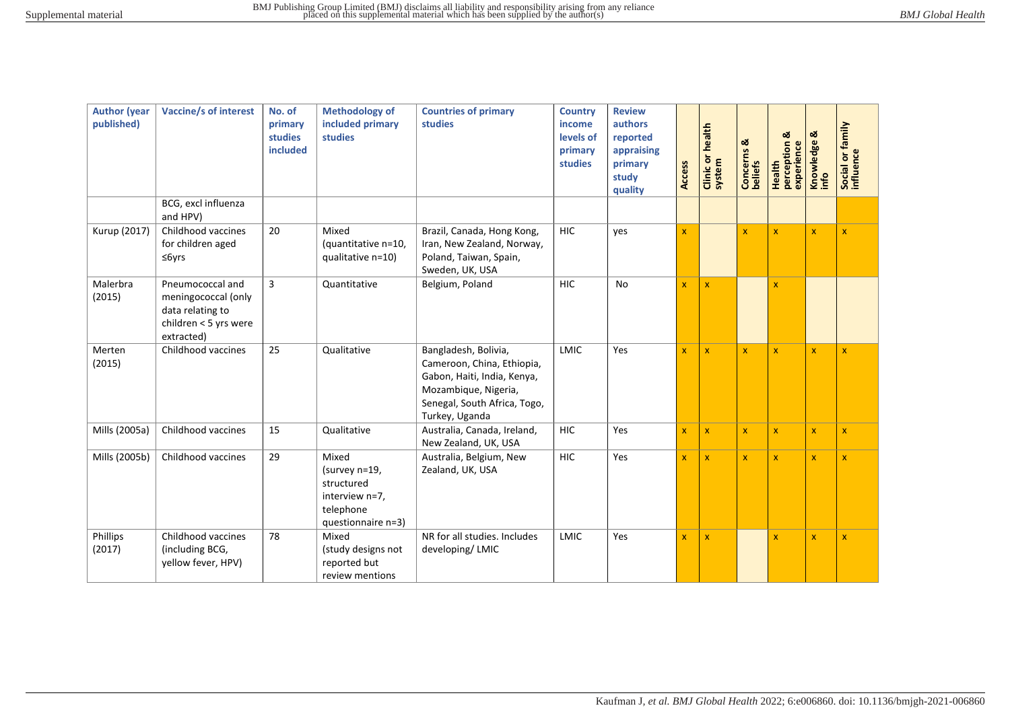| <b>Author (year</b><br>published) | <b>Vaccine/s of interest</b>                                                                       | No. of<br>primary<br>studies<br>included | <b>Methodology of</b><br>included primary<br><b>studies</b>                               | <b>Countries of primary</b><br>studies                                                                                                                      | <b>Country</b><br>income<br>levels of<br>primary<br>studies | <b>Review</b><br>authors<br>reported<br>appraising<br>primary<br>study<br>quality | <b>Access</b> | <b>Clinic or health</b><br>system | Concerns &<br>beliefs | ಷ<br>perception<br>experience<br>Health | ಹ<br>Knowledge          | Social or family<br>influence |
|-----------------------------------|----------------------------------------------------------------------------------------------------|------------------------------------------|-------------------------------------------------------------------------------------------|-------------------------------------------------------------------------------------------------------------------------------------------------------------|-------------------------------------------------------------|-----------------------------------------------------------------------------------|---------------|-----------------------------------|-----------------------|-----------------------------------------|-------------------------|-------------------------------|
|                                   | BCG, excl influenza<br>and HPV)                                                                    |                                          |                                                                                           |                                                                                                                                                             |                                                             |                                                                                   |               |                                   |                       |                                         |                         |                               |
| Kurup (2017)                      | Childhood vaccines<br>for children aged<br>$\leq$ 6yrs                                             | 20                                       | Mixed<br>(quantitative n=10,<br>qualitative n=10)                                         | Brazil, Canada, Hong Kong,<br>Iran, New Zealand, Norway,<br>Poland, Taiwan, Spain,<br>Sweden, UK, USA                                                       | <b>HIC</b>                                                  | yes                                                                               | $\mathbf{x}$  |                                   | $\mathbf{x}$          | $\mathbf{x}$                            | $\overline{\mathbf{x}}$ | $\mathbf{x}$                  |
| Malerbra<br>(2015)                | Pneumococcal and<br>meningococcal (only<br>data relating to<br>children < 5 yrs were<br>extracted) | 3                                        | Quantitative                                                                              | Belgium, Poland                                                                                                                                             | <b>HIC</b>                                                  | No                                                                                | $\mathbf{x}$  | $\mathbf{x}$                      |                       | $\mathbf{x}$                            |                         |                               |
| Merten<br>(2015)                  | Childhood vaccines                                                                                 | 25                                       | Qualitative                                                                               | Bangladesh, Bolivia,<br>Cameroon, China, Ethiopia,<br>Gabon, Haiti, India, Kenya,<br>Mozambique, Nigeria,<br>Senegal, South Africa, Togo,<br>Turkey, Uganda | <b>LMIC</b>                                                 | Yes                                                                               | $\mathbf{x}$  | $\mathbf x$                       | $\mathbf{x}$          | $\mathbf{x}$                            | X                       | $\mathbf{x}$                  |
| Mills (2005a)                     | Childhood vaccines                                                                                 | 15                                       | Qualitative                                                                               | Australia, Canada, Ireland,<br>New Zealand, UK, USA                                                                                                         | <b>HIC</b>                                                  | Yes                                                                               | $\mathbf{x}$  | $\mathbf{x}$                      | $\mathbf{x}$          | $\mathbf{x}$                            | $\mathbf{x}$            | $\mathbf{x}$                  |
| Mills (2005b)                     | Childhood vaccines                                                                                 | 29                                       | Mixed<br>(survey n=19,<br>structured<br>interview n=7,<br>telephone<br>questionnaire n=3) | Australia, Belgium, New<br>Zealand, UK, USA                                                                                                                 | <b>HIC</b>                                                  | Yes                                                                               | $\mathbf{x}$  | $\mathbf{x}$                      | $\mathbf{x}$          | $\mathbf{x}$                            | $\overline{\mathbf{x}}$ | $\mathbf{x}$                  |
| Phillips<br>(2017)                | Childhood vaccines<br>(including BCG,<br>yellow fever, HPV)                                        | 78                                       | Mixed<br>(study designs not<br>reported but<br>review mentions                            | NR for all studies. Includes<br>developing/LMIC                                                                                                             | <b>LMIC</b>                                                 | Yes                                                                               | $\mathbf{x}$  | $\mathbf{x}$                      |                       | $\mathbf{x}$                            | $\mathbf{x}$            | $\mathbf{x}$                  |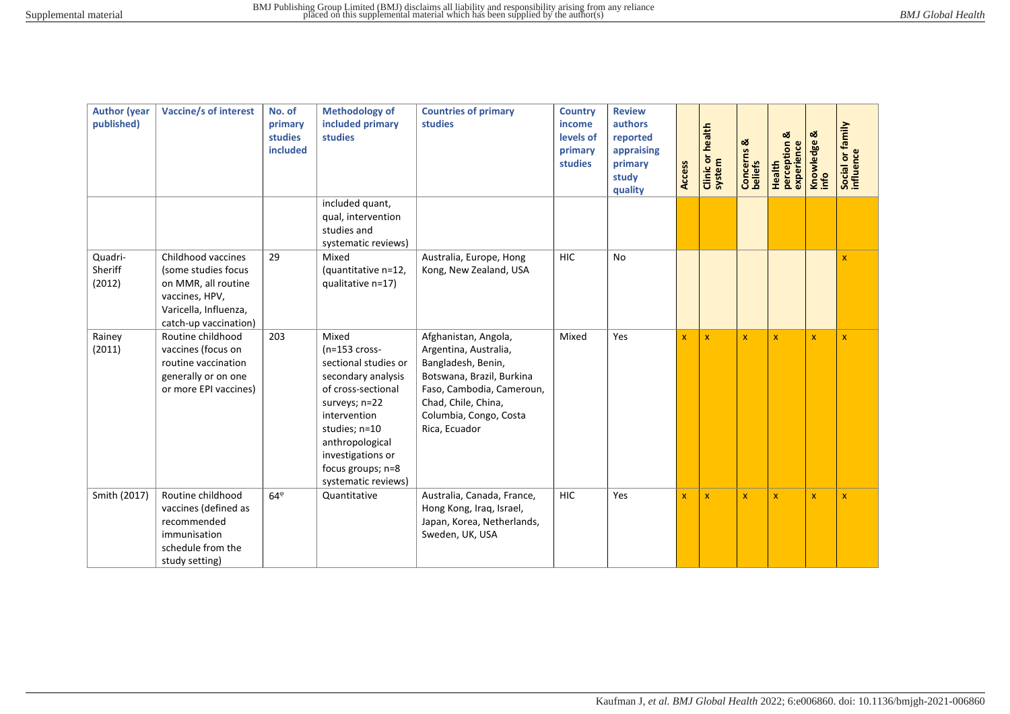| <b>Author</b> (year<br>published) | <b>Vaccine/s of interest</b>                                                                                                         | No. of<br>primary<br><b>studies</b><br>included | <b>Methodology of</b><br>included primary<br><b>studies</b>                                                                                                                                                                        | <b>Countries of primary</b><br>studies                                                                                                                                                          | <b>Country</b><br>income<br>levels of<br>primary<br>studies | <b>Review</b><br>authors<br>reported<br>appraising<br>primary<br>study<br>quality | <b>Access</b> | <b>Clinic or health</b><br>system | Concerns &<br>beliefs | ಡ<br>Health<br>perception<br>experience | Knowledge &<br>info | Social or family<br>influence |
|-----------------------------------|--------------------------------------------------------------------------------------------------------------------------------------|-------------------------------------------------|------------------------------------------------------------------------------------------------------------------------------------------------------------------------------------------------------------------------------------|-------------------------------------------------------------------------------------------------------------------------------------------------------------------------------------------------|-------------------------------------------------------------|-----------------------------------------------------------------------------------|---------------|-----------------------------------|-----------------------|-----------------------------------------|---------------------|-------------------------------|
|                                   |                                                                                                                                      |                                                 | included quant,<br>qual, intervention<br>studies and<br>systematic reviews)                                                                                                                                                        |                                                                                                                                                                                                 |                                                             |                                                                                   |               |                                   |                       |                                         |                     |                               |
| Quadri-<br>Sheriff<br>(2012)      | Childhood vaccines<br>(some studies focus<br>on MMR, all routine<br>vaccines, HPV,<br>Varicella, Influenza,<br>catch-up vaccination) | 29                                              | Mixed<br>(quantitative n=12,<br>qualitative n=17)                                                                                                                                                                                  | Australia, Europe, Hong<br>Kong, New Zealand, USA                                                                                                                                               | <b>HIC</b>                                                  | No                                                                                |               |                                   |                       |                                         |                     | X                             |
| Rainey<br>(2011)                  | Routine childhood<br>vaccines (focus on<br>routine vaccination<br>generally or on one<br>or more EPI vaccines)                       | 203                                             | Mixed<br>$(n=153$ cross-<br>sectional studies or<br>secondary analysis<br>of cross-sectional<br>surveys; n=22<br>intervention<br>studies; n=10<br>anthropological<br>investigations or<br>focus groups; n=8<br>systematic reviews) | Afghanistan, Angola,<br>Argentina, Australia,<br>Bangladesh, Benin,<br>Botswana, Brazil, Burkina<br>Faso, Cambodia, Cameroun,<br>Chad, Chile, China,<br>Columbia, Congo, Costa<br>Rica, Ecuador | Mixed                                                       | Yes                                                                               | $\mathbf x$   | $\mathbf{x}$                      | $\mathbf{x}$          | $\overline{\mathsf{x}}$                 | $\mathbf{x}$        | $\mathbf{x}$                  |
| Smith (2017)                      | Routine childhood<br>vaccines (defined as<br>recommended<br>immunisation<br>schedule from the<br>study setting)                      | $64^{\circ}$                                    | Quantitative                                                                                                                                                                                                                       | Australia, Canada, France,<br>Hong Kong, Iraq, Israel,<br>Japan, Korea, Netherlands,<br>Sweden, UK, USA                                                                                         | <b>HIC</b>                                                  | Yes                                                                               | $\mathbf{x}$  | $\mathbf x$                       | $\mathbf{x}$          | $\overline{\mathsf{x}}$                 | $\mathbf x$         | $\mathbf{x}$                  |